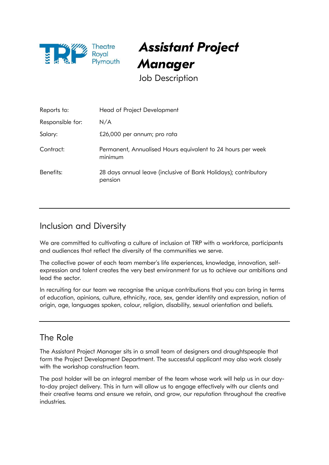

Assistant Project **Manager** 

Job Description

| Reports to:      | Head of Project Development                                                |
|------------------|----------------------------------------------------------------------------|
| Responsible for: | N/A                                                                        |
| Salary:          | £26,000 per annum; pro rata                                                |
| Contract:        | Permanent, Annualised Hours equivalent to 24 hours per week<br>minimum     |
| Benefits:        | 28 days annual leave (inclusive of Bank Holidays); contributory<br>pension |

## Inclusion and Diversity

We are committed to cultivating a culture of inclusion at TRP with a workforce, participants and audiences that reflect the diversity of the communities we serve.

The collective power of each team member's life experiences, knowledge, innovation, selfexpression and talent creates the very best environment for us to achieve our ambitions and lead the sector.

In recruiting for our team we recognise the unique contributions that you can bring in terms of education, opinions, culture, ethnicity, race, sex, gender identity and expression, nation of origin, age, languages spoken, colour, religion, disability, sexual orientation and beliefs.

### The Role

The Assistant Project Manager sits in a small team of designers and draughtspeople that form the Project Development Department. The successful applicant may also work closely with the workshop construction team.

The post holder will be an integral member of the team whose work will help us in our dayto-day project delivery. This in turn will allow us to engage effectively with our clients and their creative teams and ensure we retain, and grow, our reputation throughout the creative industries.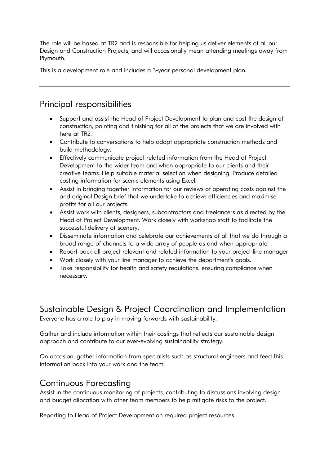The role will be based at TR2 and is responsible for helping us deliver elements of all our Design and Construction Projects, and will occasionally mean attending meetings away from Plymouth.

This is a development role and includes a 3-year personal development plan.

## Principal responsibilities

- Support and assist the Head of Project Development to plan and cost the design of construction, painting and finishing for all of the projects that we are involved with here at TR2.
- Contribute to conversations to help adopt appropriate construction methods and build methodology.
- Effectively communicate project-related information from the Head of Project Development to the wider team and when appropriate to our clients and their creative teams. Help suitable material selection when designing. Produce detailed costing information for scenic elements using Excel.
- Assist in bringing together information for our reviews of operating costs against the and original Design brief that we undertake to achieve efficiencies and maximise profits for all our projects.
- Assist work with clients, designers, subcontractors and freelancers as directed by the Head of Project Development. Work closely with workshop staff to facilitate the successful delivery of scenery.
- Disseminate information and celebrate our achievements of all that we do through a broad range of channels to a wide array of people as and when appropriate.
- Report back all project relevant and related information to your project line manager
- Work closely with your line manager to achieve the department's goals.
- Take responsibility for health and safety regulations. ensuring compliance when necessary.

Sustainable Design & Project Coordination and Implementation Everyone has a role to play in moving forwards with sustainability.

Gather and include information within their costings that reflects our sustainable design approach and contribute to our ever-evolving sustainability strategy.

On occasion, gather information from specialists such as structural engineers and feed this information back into your work and the team.

## Continuous Forecasting

Assist in the continuous monitoring of projects, contributing to discussions involving design and budget allocation with other team members to help mitigate risks to the project.

Reporting to Head of Project Development on required project resources.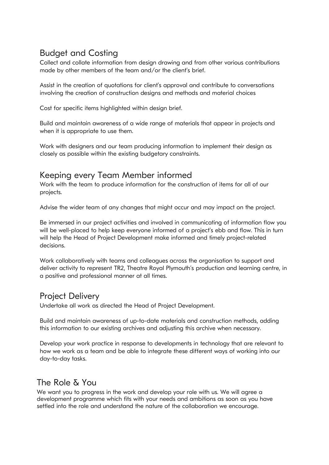# Budget and Costing

Collect and collate information from design drawing and from other various contributions made by other members of the team and/or the client's brief.

Assist in the creation of quotations for client's approval and contribute to conversations involving the creation of construction designs and methods and material choices

Cost for specific items highlighted within design brief.

Build and maintain awareness of a wide range of materials that appear in projects and when it is appropriate to use them.

Work with designers and our team producing information to implement their design as closely as possible within the existing budgetary constraints.

#### Keeping every Team Member informed

Work with the team to produce information for the construction of items for all of our projects.

Advise the wider team of any changes that might occur and may impact on the project.

Be immersed in our project activities and involved in communicating of information flow you will be well-placed to help keep everyone informed of a project's ebb and flow. This in turn will help the Head of Project Development make informed and timely project-related decisions.

Work collaboratively with teams and colleagues across the organisation to support and deliver activity to represent TR2, Theatre Royal Plymouth's production and learning centre, in a positive and professional manner at all times.

### Project Delivery

Undertake all work as directed the Head of Project Development.

Build and maintain awareness of up-to-date materials and construction methods, adding this information to our existing archives and adjusting this archive when necessary.

Develop your work practice in response to developments in technology that are relevant to how we work as a team and be able to integrate these different ways of working into our day-to-day tasks.

## The Role & You

We want you to progress in the work and develop your role with us. We will agree a development programme which fits with your needs and ambitions as soon as you have settled into the role and understand the nature of the collaboration we encourage.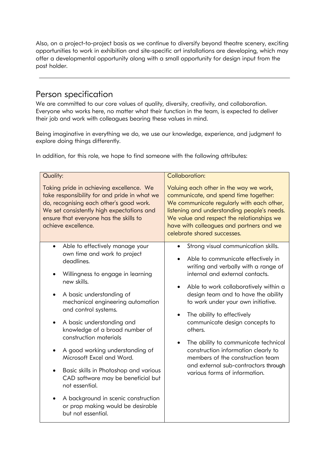Also, on a project-to-project basis as we continue to diversify beyond theatre scenery, exciting opportunities to work in exhibition and site-specific art installations are developing, which may offer a developmental opportunity along with a small opportunity for design input from the post holder.

### Person specification

We are committed to our core values of quality, diversity, creativity, and collaboration. Everyone who works here, no matter what their function in the team, is expected to deliver their job and work with colleagues bearing these values in mind.

Being imaginative in everything we do, we use our knowledge, experience, and judgment to explore doing things differently.

In addition, for this role, we hope to find someone with the following attributes:

| Quality:                                                                                                                                                                                                                                          |                                                                                                                                                                                                                                                                                                                                                                                                                                                                                                                                                                                                                                                              | Collaboration:                                                                                                                                                                                                                                                                                                                                                                                                                                                                                                                                                                           |
|---------------------------------------------------------------------------------------------------------------------------------------------------------------------------------------------------------------------------------------------------|--------------------------------------------------------------------------------------------------------------------------------------------------------------------------------------------------------------------------------------------------------------------------------------------------------------------------------------------------------------------------------------------------------------------------------------------------------------------------------------------------------------------------------------------------------------------------------------------------------------------------------------------------------------|------------------------------------------------------------------------------------------------------------------------------------------------------------------------------------------------------------------------------------------------------------------------------------------------------------------------------------------------------------------------------------------------------------------------------------------------------------------------------------------------------------------------------------------------------------------------------------------|
| Taking pride in achieving excellence. We<br>take responsibility for and pride in what we<br>do, recognising each other's good work.<br>We set consistently high expectations and<br>ensure that everyone has the skills to<br>achieve excellence. |                                                                                                                                                                                                                                                                                                                                                                                                                                                                                                                                                                                                                                                              | Valuing each other in the way we work,<br>communicate, and spend time together:<br>We communicate regularly with each other,<br>listening and understanding people's needs.<br>We value and respect the relationships we<br>have with colleagues and partners and we<br>celebrate shared successes.                                                                                                                                                                                                                                                                                      |
|                                                                                                                                                                                                                                                   | Able to effectively manage your<br>$\bullet$<br>own time and work to project<br>deadlines.<br>Willingness to engage in learning<br>٠<br>new skills.<br>A basic understanding of<br>$\bullet$<br>mechanical engineering automation<br>and control systems.<br>A basic understanding and<br>$\bullet$<br>knowledge of a broad number of<br>construction materials<br>A good working understanding of<br>$\bullet$<br>Microsoft Excel and Word.<br>Basic skills in Photoshop and various<br>CAD software may be beneficial but<br>not essential.<br>A background in scenic construction<br>$\bullet$<br>or prop making would be desirable<br>but not essential. | Strong visual communication skills.<br>Able to communicate effectively in<br>$\bullet$<br>writing and verbally with a range of<br>internal and external contacts.<br>Able to work collaboratively within a<br>$\bullet$<br>design team and to have the ability<br>to work under your own initiative.<br>The ability to effectively<br>communicate design concepts to<br>others.<br>The ability to communicate technical<br>$\bullet$<br>construction information clearly to<br>members of the construction team<br>and external sub-contractors through<br>various forms of information. |